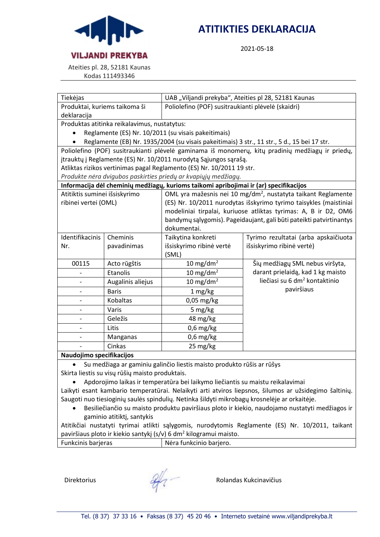

# **ATITIKTIES DEKLARACIJA**

2021-05-18

Ateities pl. 28, 52181 Kaunas

Kodas 111493346

| Tiekėjas                                                                                         |                   | UAB "Viljandi prekyba", Ateities pl 28, 52181 Kaunas                      |                                           |  |  |
|--------------------------------------------------------------------------------------------------|-------------------|---------------------------------------------------------------------------|-------------------------------------------|--|--|
| Produktai, kuriems taikoma ši                                                                    |                   | Poliolefino (POF) susitraukianti plėvelė (skaidri)                        |                                           |  |  |
| deklaracija                                                                                      |                   |                                                                           |                                           |  |  |
| Produktas atitinka reikalavimus, nustatytus:                                                     |                   |                                                                           |                                           |  |  |
| Reglamente (ES) Nr. 10/2011 (su visais pakeitimais)                                              |                   |                                                                           |                                           |  |  |
| Reglamente (EB) Nr. 1935/2004 (su visais pakeitimais) 3 str., 11 str., 5 d., 15 bei 17 str.      |                   |                                                                           |                                           |  |  |
| Poliolefino (POF) susitraukianti plėvelė gaminama iš monomerų, kitų pradinių medžiagų ir priedų, |                   |                                                                           |                                           |  |  |
|                                                                                                  |                   | jtrauktų į Reglamente (ES) Nr. 10/2011 nurodytą Sąjungos sąrašą.          |                                           |  |  |
|                                                                                                  |                   | Atliktas rizikos vertinimas pagal Reglamento (ES) Nr. 10/2011 19 str.     |                                           |  |  |
|                                                                                                  |                   | Produkte nėra dvigubos paskirties priedų ar kvapiųjų medžiagų.            |                                           |  |  |
| Informacija dėl cheminių medžiagų, kurioms taikomi apribojimai ir (ar) specifikacijos            |                   |                                                                           |                                           |  |  |
| Atitiktis suminei išsiskyrimo                                                                    |                   | OML yra mažesnis nei 10 mg/dm <sup>2</sup> , nustatyta taikant Reglamente |                                           |  |  |
| ribinei vertei (OML)                                                                             |                   | (ES) Nr. 10/2011 nurodytas išskyrimo tyrimo taisykles (maistiniai         |                                           |  |  |
|                                                                                                  |                   | modeliniai tirpalai, kuriuose atliktas tyrimas: A, B ir D2, OM6           |                                           |  |  |
|                                                                                                  |                   | bandymų sąlygomis). Pageidaujant, gali būti pateikti patvirtinantys       |                                           |  |  |
|                                                                                                  |                   | dokumentai.                                                               |                                           |  |  |
| Identifikacinis                                                                                  | Cheminis          | Taikytina konkreti                                                        | Tyrimo rezultatai (arba apskaičiuota      |  |  |
| Nr.                                                                                              | pavadinimas       | išsiskyrimo ribinė vertė<br>išsiskyrimo ribinė vertė)                     |                                           |  |  |
|                                                                                                  |                   | (SML)                                                                     |                                           |  |  |
| 00115                                                                                            | Acto rūgštis      | $10 \text{ mg/dm}^2$                                                      | Šių medžiagų SML nebus viršyta,           |  |  |
|                                                                                                  | Etanolis          | 10 mg/dm <sup>2</sup>                                                     | darant prielaidą, kad 1 kg maisto         |  |  |
|                                                                                                  | Augalinis aliejus | 10 mg/dm <sup>2</sup>                                                     | liečiasi su 6 dm <sup>2</sup> kontaktinio |  |  |
|                                                                                                  | <b>Baris</b>      | 1 mg/kg                                                                   | paviršiaus                                |  |  |
|                                                                                                  | Kobaltas          | 0,05 mg/kg                                                                |                                           |  |  |
|                                                                                                  | Varis             | 5 mg/kg                                                                   |                                           |  |  |
|                                                                                                  | Geležis           | 48 mg/kg                                                                  |                                           |  |  |
|                                                                                                  | Litis             | $0,6$ mg/kg                                                               |                                           |  |  |
|                                                                                                  | Manganas          | $0,6$ mg/kg                                                               |                                           |  |  |
|                                                                                                  | Cinkas            | 25 mg/kg                                                                  |                                           |  |  |
| Naudojimo specifikacijos                                                                         |                   |                                                                           |                                           |  |  |

• Su medžiaga ar gaminiu galinčio liestis maisto produkto rūšis ar rūšys Skirta liestis su visų rūšių maisto produktais.

• Apdorojimo laikas ir temperatūra bei laikymo liečiantis su maistu reikalavimai

Laikyti esant kambario temperatūrai. Nelaikyti arti atviros liepsnos, šilumos ar užsidegimo šaltinių. Saugoti nuo tiesioginių saulės spindulių. Netinka šildyti mikrobagų krosnelėje ar orkaitėje.

• Besiliečiančio su maisto produktu paviršiaus ploto ir kiekio, naudojamo nustatyti medžiagos ir gaminio atitiktį, santykis

Atitikčiai nustatyti tyrimai atlikti sąlygomis, nurodytomis Reglamente (ES) Nr. 10/2011, taikant paviršiaus ploto ir kiekio santykį (s/v) 6 dm<sup>2</sup> kilogramui maisto.

| Funkcinis barjeras | Nėra funkcinio barjero. |
|--------------------|-------------------------|
|                    |                         |

Direktorius Rolandas Kukcinavičius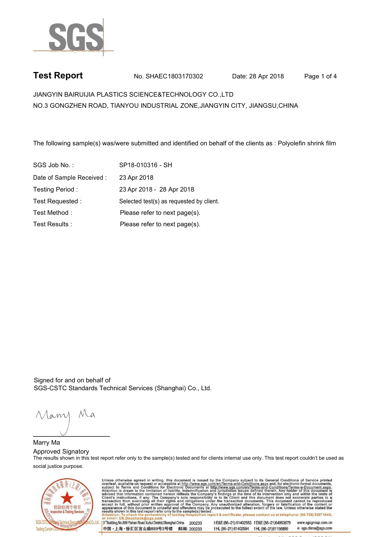

## **Test Report** No. SHAEC1803170302 Date: 28 Apr 2018 . Page 1 of 4

JIANGYIN BAIRUIJIA PLASTICS SCIENCE&TECHNOLOGY CO.,LTD . NO.3 GONGZHEN ROAD, TIANYOU INDUSTRIAL ZONE,JIANGYIN CITY, JIANGSU,CHINA

.The following sample(s) was/were submitted and identified on behalf of the clients as : Polyolefin shrink film

| SGS Job No.:              | SP18-010316 - SH                         |
|---------------------------|------------------------------------------|
| Date of Sample Received : | 23 Apr 2018                              |
| Testing Period:           | 23 Apr 2018 - 28 Apr 2018                |
| Test Requested:           | Selected test(s) as requested by client. |
| Test Method:              | Please refer to next page(s).            |
| Test Results :            | Please refer to next page(s).            |

Signed for and on behalf of SGS-CSTC Standards Technical Services (Shanghai) Co., Ltd..

Mam

Marry Ma. Approved Signatory The results shown in this test report refer only to the sample(s) tested and for clients internal use only. This test report couldn't be used as social justice purpose.

中国·上海·徐汇区宜山路889号3号楼 邮编: 200233



Unless otherwise agreed in writing, this document is issued by the Company subject to its General Conditions of Service printed overleaf, available on request or accessible at http://www.sgs.com/en/Terms-and-Conditions.asp 3<sup>rd</sup>Building, No.889 Yishan Road Xuhui District, Shanghai China 200233 t E&E (86-21) 61402553 f E&E (86-21)64953679 www.sgsgroup.com.cn

tHL (86-21) 61402594 fHL (86-21) 61156899

e sgs.china@sgs.com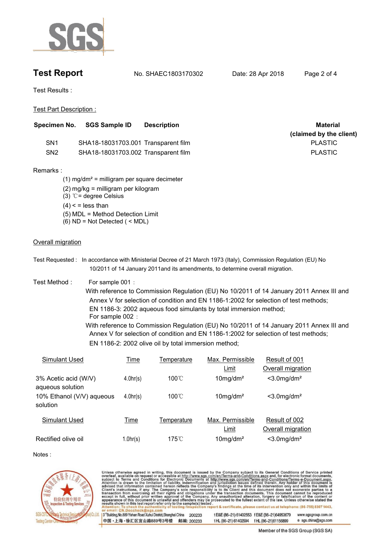

**Test Report** No. SHAEC1803170302 Date: 28 Apr 2018 . Page 2 of 4

Test Results : .

Test Part Description : .

|                                     |                                                                                                                                                                       | (claimed by the client)                                                                          |
|-------------------------------------|-----------------------------------------------------------------------------------------------------------------------------------------------------------------------|--------------------------------------------------------------------------------------------------|
|                                     |                                                                                                                                                                       |                                                                                                  |
| SHA18-18031703.001 Transparent film |                                                                                                                                                                       | <b>PLASTIC</b>                                                                                   |
|                                     |                                                                                                                                                                       | <b>PLASTIC</b>                                                                                   |
|                                     |                                                                                                                                                                       |                                                                                                  |
|                                     |                                                                                                                                                                       |                                                                                                  |
|                                     |                                                                                                                                                                       |                                                                                                  |
|                                     |                                                                                                                                                                       |                                                                                                  |
|                                     |                                                                                                                                                                       |                                                                                                  |
|                                     | $(2)$ mg/kg = milligram per kilogram<br>$(3)$ °C = degree Celsius<br>$(4)$ < = less than<br>(5) MDL = Method Detection Limit<br>$(6)$ ND = Not Detected $($ < MDL $)$ | SHA18-18031703.002 Transparent film<br>$(1)$ mg/dm <sup>2</sup> = milligram per square decimeter |

- Test Requested : In accordance with Ministerial Decree of 21 March 1973 (Italy), Commission Regulation (EU) No 10/2011 of 14 January 2011and its amendments, to determine overall migration. .
- Test Method : For sample 001 :
	- With reference to Commission Regulation (EU) No 10/2011 of 14 January 2011 Annex III and Annex V for selection of condition and EN 1186-1:2002 for selection of test methods; EN 1186-3: 2002 aqueous food simulants by total immersion method; For sample 002 : With reference to Commission Regulation (EU) No 10/2011 of 14 January 2011 Annex III and

Annex V for selection of condition and EN 1186-1:2002 for selection of test methods; EN 1186-2: 2002 olive oil by total immersion method;

| Simulant Used                            | Time     | Temperature         | Max. Permissible<br>Limit | Result of 001<br>Overall migration |
|------------------------------------------|----------|---------------------|---------------------------|------------------------------------|
| 3% Acetic acid (W/V)<br>aqueous solution | 4.0hr(s) | $100^{\circ}$ C     | $10$ mg/dm <sup>2</sup>   | $<$ 3.0 mg/dm <sup>2</sup>         |
| 10% Ethanol (V/V) aqueous<br>solution    | 4.0hr(s) | $100^{\circ}$ C     | $10$ mg/dm <sup>2</sup>   | $<$ 3.0 mg/dm <sup>2</sup>         |
| Simulant Used                            | Time     | Temperature         | Max. Permissible<br>Limit | Result of 002<br>Overall migration |
| Rectified olive oil                      | 1.0hr(s) | $175^\circ\text{C}$ | $10$ mg/dm <sup>2</sup>   | $<$ 3.0 mg/dm <sup>2</sup>         |

Notes :



Unless otherwise agreed in writing, this document is issued by the Company subject to its General Conditions of Service printed<br>overleaf, available on request or accessible at http://www.sgs.com/en/Terms-and-Conditions.asp ion report & certificate, please contact us at telephone: (86-755) 8307 1443, testing /insp tE&E (86-21) 61402553 fE&E (86-21)64953679 3<sup>rd</sup>Building, No.889 Yishan Road Xuhui District, Shanghai China 200233 www.sgsgroup.com.cn 中国·上海·徐汇区宜山路889号3号楼 邮编: 200233 tHL (86-21) 61402594 fHL (86-21)61156899 e sgs.china@sgs.com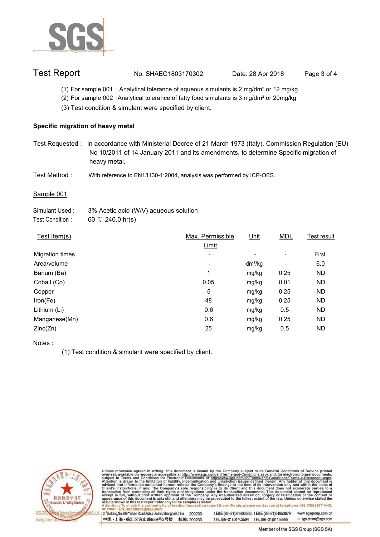

## Test Report **No. SHAEC1803170302** Date: 28 Apr 2018 . Page 3 of 4

- (1) For sample 001 : Analytical tolerance of aqueous simulants is 2 mg/dm<sup>2</sup> or 12 mg/kg
- (2) For sample 002 :Analytical tolerance of fatty food simulants is 3 mg/dm² or 20mg/kg
- (3) Test condition & simulant were specified by client. .

#### **Specific migration of heavy metal.**

- Test Requested : In accordance with Ministerial Decree of 21 March 1973 (Italy), Commission Regulation (EU) No 10/2011 of 14 January 2011 and its amendments, to determine Specific migration of heavy metal..
- Test Method : With reference to EN13130-1:2004, analysis was performed by ICP-OES.

#### Sample 001

| Simulant Used:   | 3% Acetic acid (W/V) aqueous solution |
|------------------|---------------------------------------|
| Test Condition : | 60 °C 240.0 hr(s)                     |

| Test Item(s)           | Max. Permissible | Unit      | <b>MDL</b> | Test result |
|------------------------|------------------|-----------|------------|-------------|
|                        | Limit            |           |            |             |
| <b>Migration times</b> | ٠                | ٠         | ٠          | First       |
| Area/volume            | ۰                | $dm^2/kg$ | ٠          | 6.0         |
| Barium (Ba)            | 1                | mg/kg     | 0.25       | <b>ND</b>   |
| Cobalt (Co)            | 0.05             | mg/kg     | 0.01       | ND          |
| Copper                 | 5                | mg/kg     | 0.25       | ND          |
| Iron(Fe)               | 48               | mg/kg     | 0.25       | <b>ND</b>   |
| Lithium (Li)           | 0.6              | mg/kg     | 0.5        | ND          |
| Manganese(Mn)          | 0.6              | mg/kg     | 0.25       | <b>ND</b>   |
| Zinc(Zn)               | 25               | mg/kg     | 0.5        | ND          |

Notes :

(1) Test condition & simulant were specified by client. .



Unless otherwise agreed in writing, this document is issued by the Company subject to its General Conditions of Service printed overleaf, available on request or accessible at http://www.sgs.com/en/Terms-and-Conditions.asp

3<sup>14</sup>Building, No.889 Yishan Road Xuhui District, Shanghai China 200233 中国·上海·徐汇区宜山路889号3号楼 邮编: 200233 tE&E (86-21) 61402553 fE&E (86-21)64953679 www.sgsgroup.com.cn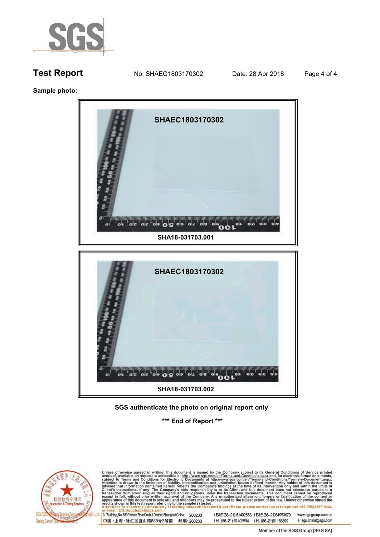

**Sample photo: .**



### **SGS authenticate the photo on original report only .**

**\*\*\* End of Report \*\*\* .**



Unless otherwise agreed in writing, this document is issued by the Company subject to its General Conditions of Service printed overleaf, available on request or accessible at http://www.sgs.com/en/Terms-and-Conditions.asp

3<sup>rd</sup>Building, No.889 Yishan Road Xuhui District, Shanghai China 200233 中国·上海·徐汇区宜山路889号3号楼 邮编: 200233 t E&E (86-21) 61402553 f E&E (86-21)64953679 www.sgsgroup.com.cn tHL (86-21) 61402594 fHL (86-21) 61156899 e sgs.china@sgs.com

Member of the SGS Group (SGS SA)